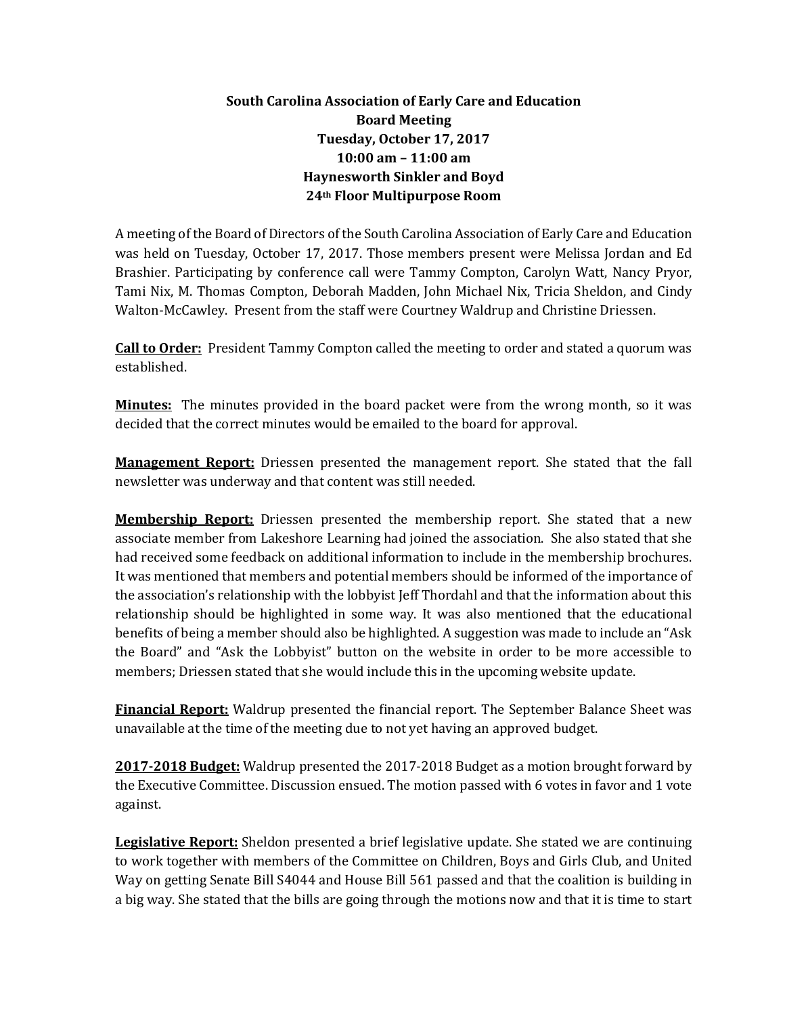## **South Carolina Association of Early Care and Education Board Meeting Tuesday, October 17, 2017 10:00 am – 11:00 am Haynesworth Sinkler and Boyd 24th Floor Multipurpose Room**

A meeting of the Board of Directors of the South Carolina Association of Early Care and Education was held on Tuesday, October 17, 2017. Those members present were Melissa Jordan and Ed Brashier. Participating by conference call were Tammy Compton, Carolyn Watt, Nancy Pryor, Tami Nix, M. Thomas Compton, Deborah Madden, John Michael Nix, Tricia Sheldon, and Cindy Walton-McCawley. Present from the staff were Courtney Waldrup and Christine Driessen.

**Call to Order:** President Tammy Compton called the meeting to order and stated a quorum was established.

**Minutes:** The minutes provided in the board packet were from the wrong month, so it was decided that the correct minutes would be emailed to the board for approval.

**Management Report:** Driessen presented the management report. She stated that the fall newsletter was underway and that content was still needed.

**Membership Report:** Driessen presented the membership report. She stated that a new associate member from Lakeshore Learning had joined the association. She also stated that she had received some feedback on additional information to include in the membership brochures. It was mentioned that members and potential members should be informed of the importance of the association's relationship with the lobbyist Jeff Thordahl and that the information about this relationship should be highlighted in some way. It was also mentioned that the educational benefits of being a member should also be highlighted. A suggestion was made to include an "Ask the Board" and "Ask the Lobbyist" button on the website in order to be more accessible to members; Driessen stated that she would include this in the upcoming website update.

**Financial Report:** Waldrup presented the financial report. The September Balance Sheet was unavailable at the time of the meeting due to not yet having an approved budget.

**2017-2018 Budget:** Waldrup presented the 2017-2018 Budget as a motion brought forward by the Executive Committee. Discussion ensued. The motion passed with 6 votes in favor and 1 vote against.

**Legislative Report:** Sheldon presented a brief legislative update. She stated we are continuing to work together with members of the Committee on Children, Boys and Girls Club, and United Way on getting Senate Bill S4044 and House Bill 561 passed and that the coalition is building in a big way. She stated that the bills are going through the motions now and that it is time to start